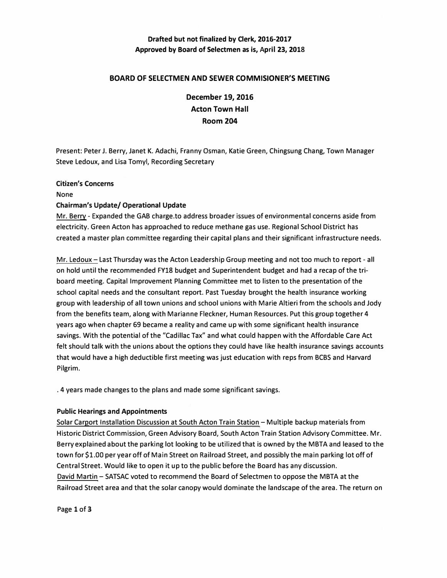# **Drafted but not finalized by Clerk, 2016-2017 Approved by Board of Selectmen as is, April 23, 2018**

## **BOARD OF SELECTMEN AND SEWER COMMISIONER'S MEETING**

**December 19, 2016 Acton Town Hall Room 204** 

**Present: Peter J. Berry, Janet K. Adachi, Franny Osman, Katie Green, Chingsung Chang, Town Manager Steve Ledoux, and Lisa Tomyl, Recording Secretary**

#### **Citizen's Concerns**

**None** 

#### **Chairman's Update/ Operational Update**

**Mr. Berry - Expanded the GAB charge.to address broader issues of environmental concerns aside from electricity. Green Acton has approached to reduce methane gas use. Regional School District has created a master plan committee regarding their capital plans and their significant infrastructure needs.** 

**Mr. Ledoux- Last Thursday was the Acton Leadership Group meeting and not too much to report - all on hold until the recommended FY18 budget and Superintendent budget and had a recap of the triboard meeting. Capital Improvement Planning Committee met to listen to the presentation of the school capital needs and the consultant report. Past Tuesday brought the health insurance working group with leadership of all town unions and school unions with Marie Altieri from the schools and Jody from the benefits team, along with Marianne Fleckner, Human Resources. Put this group together 4 years ago when chapter 69 became a reality and came up with some significant health insurance savings. With the potential of the "Cadillac Tax" and what could happen with the Affordable Care Act felt should talk with the unions about the options they could have like health insurance savings accounts that would have a high deductible first meeting was just education with reps from BCBS and Harvard**  Pilgrim.

**. 4 years made changes to the plans and made some significant savings.** 

#### **Public Hearings and Appointments**

**Solar Carport Installation Discussion at South Acton Train Station- Multiple backup materials from Historic District Commission, Green Advisory Board, South Acton Train Station Advisory Committee. Mr. Berry explained about the parking lot looking to be utilized that is owned by the MBTA and leased to the town for \$1.00 per year off of Main Street on Railroad Street, and possibly the main parking lot off of Central Street. Would like to open it up to the public before the Board has any discussion. David Martin- SATSAC voted to recommend the Board of Selectmen to oppose the MBTA at the Railroad Street area and that the solar canopy would dominate the landscape of the area. The return on** 

**Page 1 of 3**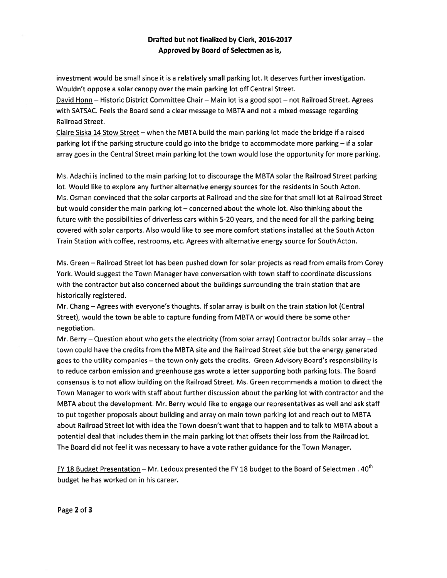## Drafted but not finalized by Clerk, 2016-2017 Approved by Board of Selectmen as is,

investment would be small since it is <sup>a</sup> relatively small parking lot. It deserves further investigation. Wouldn't oppose <sup>a</sup> solar canopy over the main parking lot off Central Street.

David Honn — Historic District Committee Chair— Main lot is <sup>a</sup> good spo<sup>t</sup> — not Railroad Street. Agrees with SATSAC. Feels the Board send <sup>a</sup> clear message to MBTA and not <sup>a</sup> mixed message regarding Railroad Street.

Claire Siska 14 Stow Street — when the MBTA build the main parking lot made the bridge if <sup>a</sup> raised parking lot if the parking structure could go into the bridge to accommodate more parking— if <sup>a</sup> solar array goes in the Central Street main parking lot the town would lose the opportunity for more parking.

Ms. Adachi is inclined to the main parking lot to discourage the MBTA solar the Railroad Street parking lot. Would like to explore any further alternative energy sources for the residents in South Acton. Ms. Osman convinced that the solar carports at Railroad and the size for that small lot at Railroad Street but would consider the main parking lot — concerned about the whole lot. Also thinking about the future with the possibilities of driverless cars within 5-20 years, and the need for all the parking being covered with solar carports. Also would like to see more comfort stations installed at the South Acton Train Station with coffee, restrooms, etc. Agrees with alternative energy source for South Acton.

Ms. Green — Railroad Street lot has been pushed down for solar projects as read from emails from Corey York. Would sugges<sup>t</sup> the Town Manager have conversation with town staff to coordinate discussions with the contractor but also concerned about the buildings surrounding the train station that are historically registered.

Mr. Chang — Agrees with everyone's thoughts. If solar array is built on the train station lot (Central Street), would the town be able to capture funding from MBTA or would there be some other negotiation.

Mr. Berry — Question about who gets the electricity (from solar array) Contractor builds solar array — the town could have the credits from the MBTA site and the Railroad Street side but the energy generated goes to the utility companies — the town only gets the credits. Green Advisory Board's responsibility is to reduce carbon emission and greenhouse gas wrote <sup>a</sup> letter supporting both parking lots. The Board consensus is to not allow building on the Railroad Street. Ms. Green recommends <sup>a</sup> motion to direct the Town Manager to work with staff about further discussion about the parking lot with contractor and the MBTA about the development. Mr. Berry would like to engage our representatives as well and ask staff to pu<sup>t</sup> together proposals about building and array on main town parking lot and reach out to MBTA about Railroad Street lot with idea the Town doesn't want that to happen and to talk to MBTA about <sup>a</sup> potential deal that includes them in the main parking lot that offsets their loss from the Railroad lot. The Board did not feel it was necessary to have <sup>a</sup> vote rather guidance for the Town Manager.

FY 18 Budget Presentation – Mr. Ledoux presented the FY 18 budget to the Board of Selectmen.  $40^{th}$ budget he has worked on in his career.

Page 2 of 3